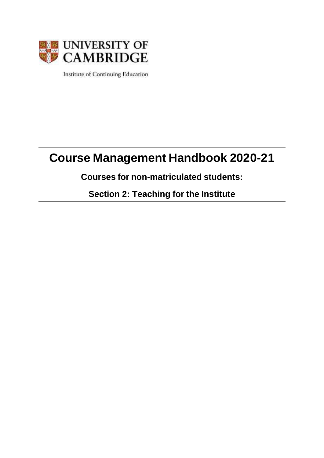

Institute of Continuing Education

# **Course Management Handbook 2020-21**

# **Courses for non-matriculated students:**

**Section 2: Teaching for the Institute**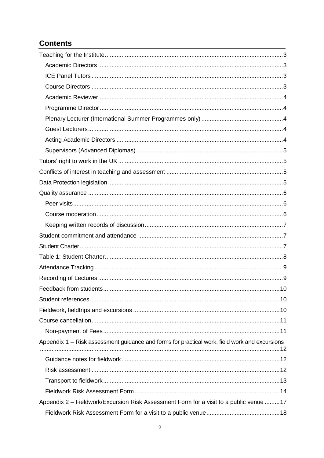# **Contents**

| Appendix 1 - Risk assessment guidance and forms for practical work, field work and excursions |  |
|-----------------------------------------------------------------------------------------------|--|
|                                                                                               |  |
|                                                                                               |  |
|                                                                                               |  |
|                                                                                               |  |
| Appendix 2 - Fieldwork/Excursion Risk Assessment Form for a visit to a public venue 17        |  |
|                                                                                               |  |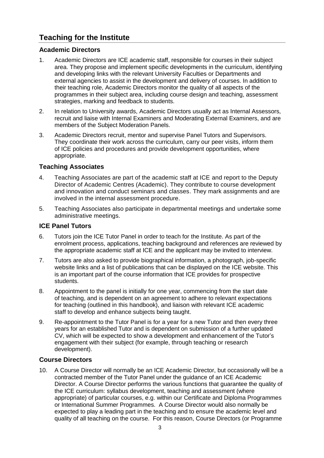# <span id="page-2-0"></span>**Teaching for the Institute**

# <span id="page-2-1"></span>**Academic Directors**

- 1. Academic Directors are ICE academic staff, responsible for courses in their subject area. They propose and implement specific developments in the curriculum, identifying and developing links with the relevant University Faculties or Departments and external agencies to assist in the development and delivery of courses. In addition to their teaching role, Academic Directors monitor the quality of all aspects of the programmes in their subject area, including course design and teaching, assessment strategies, marking and feedback to students.
- 2. In relation to University awards, Academic Directors usually act as Internal Assessors, recruit and liaise with Internal Examiners and Moderating External Examiners, and are members of the Subject Moderation Panels.
- 3. Academic Directors recruit, mentor and supervise Panel Tutors and Supervisors. They coordinate their work across the curriculum, carry our peer visits, inform them of ICE policies and procedures and provide development opportunities, where appropriate.

# **Teaching Associates**

- 4. Teaching Associates are part of the academic staff at ICE and report to the Deputy Director of Academic Centres (Academic). They contribute to course development and innovation and conduct seminars and classes. They mark assignments and are involved in the internal assessment procedure.
- 5. Teaching Associates also participate in departmental meetings and undertake some administrative meetings.

# <span id="page-2-2"></span>**ICE Panel Tutors**

- 6. Tutors join the ICE Tutor Panel in order to teach for the Institute. As part of the enrolment process, applications, teaching background and references are reviewed by the appropriate academic staff at ICE and the applicant may be invited to interview.
- 7. Tutors are also asked to provide biographical information, a photograph, job-specific website links and a list of publications that can be displayed on the ICE website. This is an important part of the course information that ICE provides for prospective students.
- 8. Appointment to the panel is initially for one year, commencing from the start date of teaching, and is dependent on an agreement to adhere to relevant expectations for teaching (outlined in this handbook), and liaison with relevant ICE academic staff to develop and enhance subjects being taught.
- 9. Re-appointment to the Tutor Panel is for a year for a new Tutor and then every three years for an established Tutor and is dependent on submission of a further updated CV, which will be expected to show a development and enhancement of the Tutor's engagement with their subject (for example, through teaching or research development).

# <span id="page-2-3"></span>**Course Directors**

10. A Course Director will normally be an ICE Academic Director, but occasionally will be a contracted member of the Tutor Panel under the guidance of an ICE Academic Director. A Course Director performs the various functions that guarantee the quality of the ICE curriculum: syllabus development, teaching and assessment (where appropriate) of particular courses, e.g. within our Certificate and Diploma Programmes or International Summer Programmes. A Course Director would also normally be expected to play a leading part in the teaching and to ensure the academic level and quality of all teaching on the course. For this reason, Course Directors (or Programme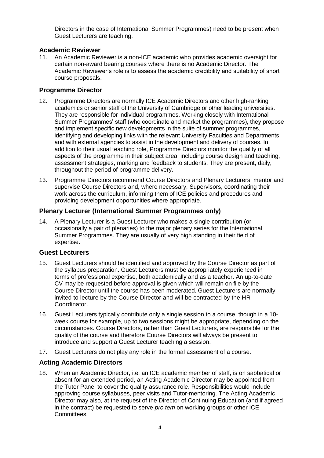Directors in the case of International Summer Programmes) need to be present when Guest Lecturers are teaching.

# <span id="page-3-0"></span>**Academic Reviewer**

11. An Academic Reviewer is a non-ICE academic who provides academic oversight for certain non-award bearing courses where there is no Academic Director. The Academic Reviewer's role is to assess the academic credibility and suitability of short course proposals.

# <span id="page-3-1"></span>**Programme Director**

- 12. Programme Directors are normally ICE Academic Directors and other high-ranking academics or senior staff of the University of Cambridge or other leading universities. They are responsible for individual programmes. Working closely with International Summer Programmes' staff (who coordinate and market the programmes), they propose and implement specific new developments in the suite of summer programmes, identifying and developing links with the relevant University Faculties and Departments and with external agencies to assist in the development and delivery of courses. In addition to their usual teaching role, Programme Directors monitor the quality of all aspects of the programme in their subject area, including course design and teaching, assessment strategies, marking and feedback to students. They are present, daily, throughout the period of programme delivery.
- 13. Programme Directors recommend Course Directors and Plenary Lecturers, mentor and supervise Course Directors and, where necessary, Supervisors, coordinating their work across the curriculum, informing them of ICE policies and procedures and providing development opportunities where appropriate.

# <span id="page-3-2"></span>**Plenary Lecturer (International Summer Programmes only)**

14. A Plenary Lecturer is a Guest Lecturer who makes a single contribution (or occasionally a pair of plenaries) to the major plenary series for the International Summer Programmes. They are usually of very high standing in their field of expertise.

### <span id="page-3-3"></span>**Guest Lecturers**

- 15. Guest Lecturers should be identified and approved by the Course Director as part of the syllabus preparation. Guest Lecturers must be appropriately experienced in terms of professional expertise, both academically and as a teacher. An up-to-date CV may be requested before approval is given which will remain on file by the Course Director until the course has been moderated. Guest Lecturers are normally invited to lecture by the Course Director and will be contracted by the HR Coordinator.
- 16. Guest Lecturers typically contribute only a single session to a course, though in a 10 week course for example, up to two sessions might be appropriate, depending on the circumstances. Course Directors, rather than Guest Lecturers, are responsible for the quality of the course and therefore Course Directors will always be present to introduce and support a Guest Lecturer teaching a session.
- 17. Guest Lecturers do not play any role in the formal assessment of a course.

### <span id="page-3-4"></span>**Acting Academic Directors**

18. When an Academic Director, i.e. an ICE academic member of staff, is on sabbatical or absent for an extended period, an Acting Academic Director may be appointed from the Tutor Panel to cover the quality assurance role. Responsibilities would include approving course syllabuses, peer visits and Tutor-mentoring. The Acting Academic Director may also, at the request of the Director of Continuing Education (and if agreed in the contract) be requested to serve *pro tem* on working groups or other ICE Committees.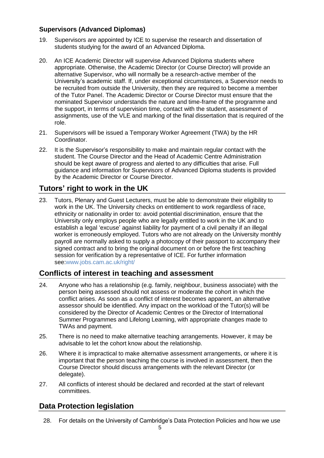# <span id="page-4-0"></span>**Supervisors (Advanced Diplomas)**

- 19. Supervisors are appointed by ICE to supervise the research and dissertation of students studying for the award of an Advanced Diploma.
- 20. An ICE Academic Director will supervise Advanced Diploma students where appropriate. Otherwise, the Academic Director (or Course Director) will provide an alternative Supervisor, who will normally be a research-active member of the University's academic staff. If, under exceptional circumstances, a Supervisor needs to be recruited from outside the University, then they are required to become a member of the Tutor Panel. The Academic Director or Course Director must ensure that the nominated Supervisor understands the nature and time-frame of the programme and the support, in terms of supervision time, contact with the student, assessment of assignments, use of the VLE and marking of the final dissertation that is required of the role.
- 21. Supervisors will be issued a Temporary Worker Agreement (TWA) by the HR Coordinator.
- 22. It is the Supervisor's responsibility to make and maintain regular contact with the student. The Course Director and the Head of Academic Centre Administration should be kept aware of progress and alerted to any difficulties that arise. Full guidance and information for Supervisors of Advanced Diploma students is provided by the Academic Director or Course Director.

# <span id="page-4-1"></span>**Tutors' right to work in the UK**

23. Tutors, Plenary and Guest Lecturers, must be able to demonstrate their eligibility to work in the UK. The University checks on entitlement to work regardless of race, ethnicity or nationality in order to: avoid potential discrimination, ensure that the University only employs people who are legally entitled to work in the UK and to establish a legal 'excuse' against liability for payment of a civil penalty if an illegal worker is erroneously employed. Tutors who are not already on the University monthly payroll are normally asked to supply a photocopy of their passport to accompany their signed contract and to bring the original document on or before the first teaching session for verification by a representative of ICE. For further information see[:www.jobs.cam.ac.uk/right/](http://www.jobs.cam.ac.uk/right/)

# <span id="page-4-2"></span>**Conflicts of interest in teaching and assessment**

- 24. Anyone who has a relationship (e.g. family, neighbour, business associate) with the person being assessed should not assess or moderate the cohort in which the conflict arises. As soon as a conflict of interest becomes apparent, an alternative assessor should be identified. Any impact on the workload of the Tutor(s) will be considered by the Director of Academic Centres or the Director of International Summer Programmes and Lifelong Learning, with appropriate changes made to TWAs and payment.
- 25. There is no need to make alternative teaching arrangements. However, it may be advisable to let the cohort know about the relationship.
- 26. Where it is impractical to make alternative assessment arrangements, or where it is important that the person teaching the course is involved in assessment, then the Course Director should discuss arrangements with the relevant Director (or delegate).
- 27. All conflicts of interest should be declared and recorded at the start of relevant committees.

# <span id="page-4-3"></span>**Data Protection legislation**

28. For details on the University of Cambridge's Data Protection Policies and how we use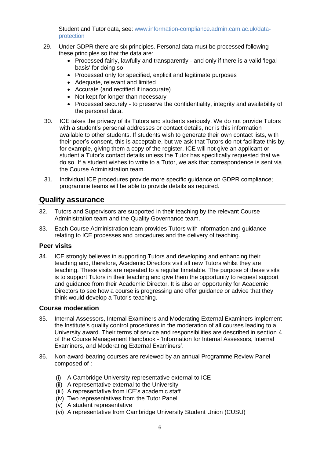Student and Tutor data, see: [www.information-compliance.admin.cam.ac.uk/data](https://www.information-compliance.admin.cam.ac.uk/data-protection)[protection](https://www.information-compliance.admin.cam.ac.uk/data-protection)

- 29. Under GDPR there are six principles. Personal data must be processed following these principles so that the data are:
	- Processed fairly, lawfully and transparently and only if there is a valid 'legal basis' for doing so
	- Processed only for specified, explicit and legitimate purposes
	- Adequate, relevant and limited
	- Accurate (and rectified if inaccurate)
	- Not kept for longer than necessary
	- Processed securely to preserve the confidentiality, integrity and availability of the personal data.
- 30. ICE takes the privacy of its Tutors and students seriously. We do not provide Tutors with a student's personal addresses or contact details, nor is this information available to other students. If students wish to generate their own contact lists, with their peer's consent, this is acceptable, but we ask that Tutors do not facilitate this by, for example, giving them a copy of the register. ICE will not give an applicant or student a Tutor's contact details unless the Tutor has specifically requested that we do so. If a student wishes to write to a Tutor, we ask that correspondence is sent via the Course Administration team.
- 31. Individual ICE procedures provide more specific guidance on GDPR compliance; programme teams will be able to provide details as required.

# <span id="page-5-0"></span>**Quality assurance**

- 32. Tutors and Supervisors are supported in their teaching by the relevant Course Administration team and the Quality Governance team.
- 33. Each Course Administration team provides Tutors with information and guidance relating to ICE processes and procedures and the delivery of teaching.

#### <span id="page-5-1"></span>**Peer visits**

34. ICE strongly believes in supporting Tutors and developing and enhancing their teaching and, therefore, Academic Directors visit all new Tutors whilst they are teaching. These visits are repeated to a regular timetable. The purpose of these visits is to support Tutors in their teaching and give them the opportunity to request support and guidance from their Academic Director. It is also an opportunity for Academic Directors to see how a course is progressing and offer guidance or advice that they think would develop a Tutor's teaching.

### <span id="page-5-2"></span>**Course moderation**

- 35. Internal Assessors, Internal Examiners and Moderating External Examiners implement the Institute's quality control procedures in the moderation of all courses leading to a University award. Their terms of service and responsibilities are described in section 4 of the Course Management Handbook - 'Information for Internal Assessors, Internal Examiners, and Moderating External Examiners'.
- 36. Non-award-bearing courses are reviewed by an annual Programme Review Panel composed of :
	- (i) A Cambridge University representative external to ICE
	- (ii) A representative external to the University
	- (iii) A representative from ICE's academic staff
	- (iv) Two representatives from the Tutor Panel
	- (v) A student representative
	- (vi) A representative from Cambridge University Student Union (CUSU)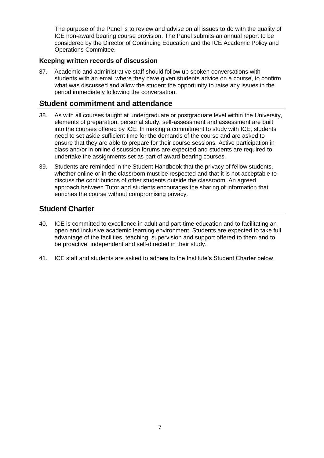The purpose of the Panel is to review and advise on all issues to do with the quality of ICE non-award bearing course provision. The Panel submits an annual report to be considered by the Director of Continuing Education and the ICE Academic Policy and Operations Committee.

# <span id="page-6-0"></span>**Keeping written records of discussion**

37. Academic and administrative staff should follow up spoken conversations with students with an email where they have given students advice on a course, to confirm what was discussed and allow the student the opportunity to raise any issues in the period immediately following the conversation.

# <span id="page-6-1"></span>**Student commitment and attendance**

- 38. As with all courses taught at undergraduate or postgraduate level within the University, elements of preparation, personal study, self-assessment and assessment are built into the courses offered by ICE. In making a commitment to study with ICE, students need to set aside sufficient time for the demands of the course and are asked to ensure that they are able to prepare for their course sessions. Active participation in class and/or in online discussion forums are expected and students are required to undertake the assignments set as part of award-bearing courses.
- 39. Students are reminded in the Student Handbook that the privacy of fellow students, whether online or in the classroom must be respected and that it is not acceptable to discuss the contributions of other students outside the classroom. An agreed approach between Tutor and students encourages the sharing of information that enriches the course without compromising privacy.

# <span id="page-6-2"></span>**Student Charter**

- 40. ICE is committed to excellence in adult and part-time education and to facilitating an open and inclusive academic learning environment. Students are expected to take full advantage of the facilities, teaching, supervision and support offered to them and to be proactive, independent and self‐directed in their study.
- 41. ICE staff and students are asked to adhere to the Institute's Student Charter below.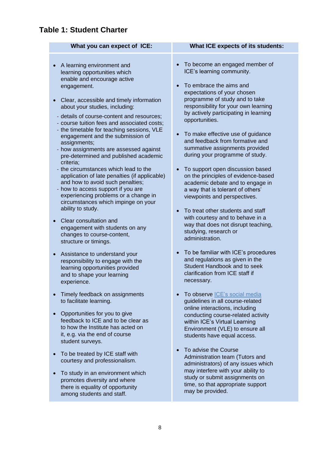# <span id="page-7-0"></span>**Table 1: Student Charter**

- A learning environment and learning opportunities which enable and encourage active engagement.
- Clear, accessible and timely information about your studies, including:
- details of course-content and resources;
- course tuition fees and associated costs;
- the timetable for teaching sessions, VLE engagement and the submission of assignments;
- how assignments are assessed against pre-determined and published academic criteria;
- the circumstances which lead to the application of late penalties (if applicable) and how to avoid such penalties;
- how to access support if you are experiencing problems or a change in circumstances which impinge on your ability to study.
- Clear consultation and engagement with students on any changes to course-content, structure or timings.
- Assistance to understand your responsibility to engage with the learning opportunities provided and to shape your learning experience.
- Timely feedback on assignments to facilitate learning.
- Opportunities for you to give feedback to ICE and to be clear as to how the Institute has acted on it, e.g. via the end of course student surveys.
- To be treated by ICE staff with courtesy and professionalism.
- To study in an environment which promotes diversity and where there is equality of opportunity among students and staff.

### **What you can expect of ICE: What ICE expects of its students:**

- To become an engaged member of ICE's learning community.
- To embrace the aims and expectations of your chosen programme of study and to take responsibility for your own learning by actively participating in learning opportunities.
- To make effective use of guidance and feedback from formative and summative assignments provided during your programme of study.
- To support open discussion based on the principles of evidence-based academic debate and to engage in a way that is tolerant of others' viewpoints and perspectives.
- To treat other students and staff with courtesy and to behave in a way that does not disrupt teaching, studying, research or administration.
- To be familiar with ICE's procedures and regulations as given in the Student Handbook and to seek clarification from ICE staff if necessary.
- To observe **ICE's** social media guidelines in all course-related online interactions, including conducting course-related activity within ICE's Virtual Learning Environment (VLE) to ensure all students have equal access.
- To advise the Course Administration team (Tutors and administrators) of any issues which may interfere with your ability to study or submit assignments on time, so that appropriate support may be provided.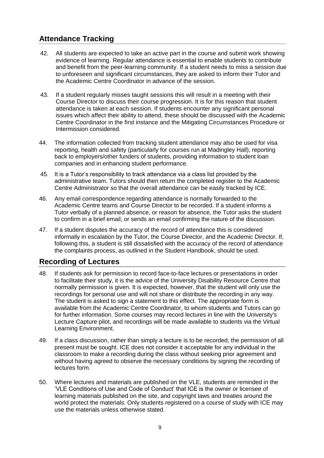# <span id="page-8-0"></span>**Attendance Tracking**

- 42. All students are expected to take an active part in the course and submit work showing evidence of learning. Regular attendance is essential to enable students to contribute and benefit from the peer-learning community. If a student needs to miss a session due to unforeseen and significant circumstances, they are asked to inform their Tutor and the Academic Centre Coordinator in advance of the session.
- 43. If a student regularly misses taught sessions this will result in a meeting with their Course Director to discuss their course progression. It is for this reason that student attendance is taken at each session. If students encounter any significant personal issues which affect their ability to attend, these should be discussed with the Academic Centre Coordinator in the first instance and the Mitigating Circumstances Procedure or Intermission considered.
- 44. The information collected from tracking student attendance may also be used for visa reporting, health and safety (particularly for courses run at Madingley Hall), reporting back to employers/other funders of students, providing information to student loan companies and in enhancing student performance.
- 45. It is a Tutor's responsibility to track attendance via a class list provided by the administrative team. Tutors should then return the completed register to the Academic Centre Administrator so that the overall attendance can be easily tracked by ICE.
- 46. Any email correspondence regarding attendance is normally forwarded to the Academic Centre teams and Course Director to be recorded. If a student informs a Tutor verbally of a planned absence, or reason for absence, the Tutor asks the student to confirm in a brief email, or sends an email confirming the nature of the discussion.
- 47. If a student disputes the accuracy of the record of attendance this is considered informally in escalation by the Tutor, the Course Director, and the Academic Director. If, following this, a student is still dissatisfied with the accuracy of the record of attendance the complaints process, as outlined in the Student Handbook, should be used.

# <span id="page-8-1"></span>**Recording of Lectures**

- 48. If students ask for permission to record face-to-face lectures or presentations in order to facilitate their study, it is the advice of the University Disability Resource Centre that normally permission is given. It is expected, however, that the student will only use the recordings for personal use and will not share or distribute the recording in any way. The student is asked to sign a statement to this effect. The appropriate form is available from the Academic Centre Coordinator, to whom students and Tutors can go for further information. Some courses may record lectures in line with the University's Lecture Capture pilot, and recordings will be made available to students via the Virtual Learning Environment.
- 49. If a class discussion, rather than simply a lecture is to be recorded, the permission of all present must be sought. ICE does not consider it acceptable for any individual in the classroom to make a recording during the class without seeking prior agreement and without having agreed to observe the necessary conditions by signing the recording of lectures form.
- 50. Where lectures and materials are published on the VLE, students are reminded in the 'VLE Conditions of Use and Code of Conduct' that ICE is the owner or licensee of learning materials published on the site, and copyright laws and treaties around the world protect the materials. Only students registered on a course of study with ICE may use the materials unless otherwise stated.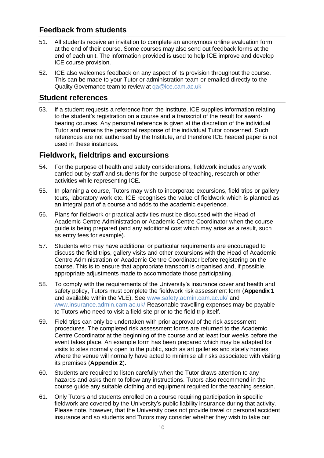# <span id="page-9-0"></span>**Feedback from students**

- 51. All students receive an invitation to complete an anonymous online evaluation form at the end of their course. Some courses may also send out feedback forms at the end of each unit. The information provided is used to help ICE improve and develop ICE course provision.
- 52. ICE also welcomes feedback on any aspect of its provision throughout the course. This can be made to your Tutor or administration team or emailed directly to the Quality Governance team to review at [qa@ice.cam.ac.uk](mailto:qa@ice.cam.ac.uk)

# <span id="page-9-1"></span>**Student references**

53. If a student requests a reference from the Institute, ICE supplies information relating to the student's registration on a course and a transcript of the result for awardbearing courses. Any personal reference is given at the discretion of the individual Tutor and remains the personal response of the individual Tutor concerned. Such references are not authorised by the Institute, and therefore ICE headed paper is not used in these instances.

# <span id="page-9-2"></span>**Fieldwork, fieldtrips and excursions**

- 54. For the purpose of health and safety considerations, fieldwork includes any work carried out by staff and students for the purpose of teaching, research or other activities while representing ICE**.**
- 55. In planning a course, Tutors may wish to incorporate excursions, field trips or gallery tours, laboratory work etc. ICE recognises the value of fieldwork which is planned as an integral part of a course and adds to the academic experience.
- 56. Plans for fieldwork or practical activities must be discussed with the Head of Academic Centre Administration or Academic Centre Coordinator when the course guide is being prepared (and any additional cost which may arise as a result, such as entry fees for example).
- 57. Students who may have additional or particular requirements are encouraged to discuss the field trips, gallery visits and other excursions with the Head of Academic Centre Administration or Academic Centre Coordinator before registering on the course. This is to ensure that appropriate transport is organised and, if possible, appropriate adjustments made to accommodate those participating.
- 58. To comply with the requirements of the University's insurance cover and health and safety policy, Tutors must complete the fieldwork risk assessment form (**[Appendix 1](#page-13-0)** and available within the VLE). See [www.safety.admin.cam.ac.uk/](https://www.safety.admin.cam.ac.uk/) and [www.insurance.admin.cam.ac.uk/](https://www.insurance.admin.cam.ac.uk/) Reasonable travelling expenses may be payable to Tutors who need to visit a field site prior to the field trip itself.
- 59. Field trips can only be undertaken with prior approval of the risk assessment procedures. The completed risk assessment forms are returned to the Academic Centre Coordinator at the beginning of the course and at least four weeks before the event takes place. An example form has been prepared which may be adapted for visits to sites normally open to the public, such as art galleries and stately homes, where the venue will normally have acted to minimise all risks associated with visiting its premises (**[Appendix 2](#page-16-0)**).
- 60. Students are required to listen carefully when the Tutor draws attention to any hazards and asks them to follow any instructions. Tutors also recommend in the course guide any suitable clothing and equipment required for the teaching session.
- 61. Only Tutors and students enrolled on a course requiring participation in specific fieldwork are covered by the University's public liability insurance during that activity. Please note, however, that the University does not provide travel or personal accident insurance and so students and Tutors may consider whether they wish to take out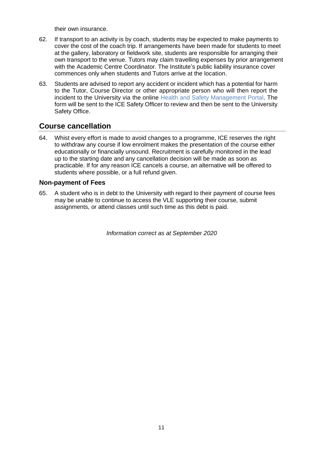their own insurance.

- 62. If transport to an activity is by coach, students may be expected to make payments to cover the cost of the coach trip. If arrangements have been made for students to meet at the gallery, laboratory or fieldwork site, students are responsible for arranging their own transport to the venue. Tutors may claim travelling expenses by prior arrangement with the Academic Centre Coordinator. The Institute's public liability insurance cover commences only when students and Tutors arrive at the location.
- 63. Students are advised to report any accident or incident which has a potential for harm to the Tutor, Course Director or other appropriate person who will then report the incident to the University via the online [Health and Safety Management Portal.](https://portal.assessweb.co.uk/version3.2/security/login/frm_lg_entry.aspx) The form will be sent to the ICE Safety Officer to review and then be sent to the University Safety Office.

# <span id="page-10-0"></span>**Course cancellation**

64. Whist every effort is made to avoid changes to a programme, ICE reserves the right to withdraw any course if low enrolment makes the presentation of the course either educationally or financially unsound. Recruitment is carefully monitored in the lead up to the starting date and any cancellation decision will be made as soon as practicable. If for any reason ICE cancels a course, an alternative will be offered to students where possible, or a full refund given.

# <span id="page-10-1"></span>**Non-payment of Fees**

65. A student who is in debt to the University with regard to their payment of course fees may be unable to continue to access the VLE supporting their course, submit assignments, or attend classes until such time as this debt is paid.

*Information correct as at September 2020*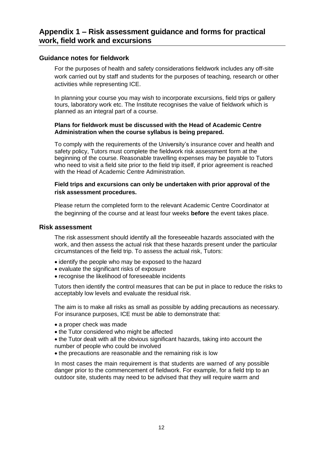### <span id="page-11-1"></span><span id="page-11-0"></span>**Guidance notes for fieldwork**

For the purposes of health and safety considerations fieldwork includes any off-site work carried out by staff and students for the purposes of teaching, research or other activities while representing ICE.

In planning your course you may wish to incorporate excursions, field trips or gallery tours, laboratory work etc. The Institute recognises the value of fieldwork which is planned as an integral part of a course.

### **Plans for fieldwork must be discussed with the Head of Academic Centre Administration when the course syllabus is being prepared.**

To comply with the requirements of the University's insurance cover and health and safety policy, Tutors must complete the fieldwork risk assessment form at the beginning of the course. Reasonable travelling expenses may be payable to Tutors who need to visit a field site prior to the field trip itself, if prior agreement is reached with the Head of Academic Centre Administration.

### **Field trips and excursions can only be undertaken with prior approval of the risk assessment procedures.**

Please return the completed form to the relevant Academic Centre Coordinator at the beginning of the course and at least four weeks **before** the event takes place.

### <span id="page-11-2"></span>**Risk assessment**

The risk assessment should identify all the foreseeable hazards associated with the work, and then assess the actual risk that these hazards present under the particular circumstances of the field trip. To assess the actual risk, Tutors:

- identify the people who may be exposed to the hazard
- evaluate the significant risks of exposure
- recognise the likelihood of foreseeable incidents

Tutors then identify the control measures that can be put in place to reduce the risks to acceptably low levels and evaluate the residual risk.

The aim is to make all risks as small as possible by adding precautions as necessary. For insurance purposes, ICE must be able to demonstrate that:

- a proper check was made
- the Tutor considered who might be affected
- the Tutor dealt with all the obvious significant hazards, taking into account the number of people who could be involved
- the precautions are reasonable and the remaining risk is low

In most cases the main requirement is that students are warned of any possible danger prior to the commencement of fieldwork. For example, for a field trip to an outdoor site, students may need to be advised that they will require warm and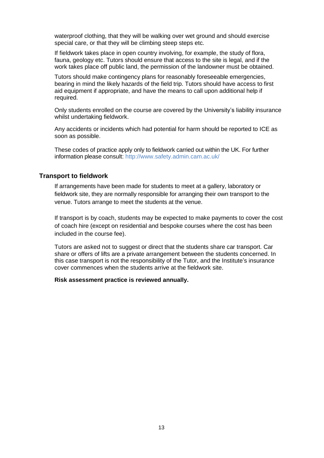waterproof clothing, that they will be walking over wet ground and should exercise special care, or that they will be climbing steep steps etc.

If fieldwork takes place in open country involving, for example, the study of flora, fauna, geology etc. Tutors should ensure that access to the site is legal, and if the work takes place off public land, the permission of the landowner must be obtained.

Tutors should make contingency plans for reasonably foreseeable emergencies, bearing in mind the likely hazards of the field trip. Tutors should have access to first aid equipment if appropriate, and have the means to call upon additional help if required.

Only students enrolled on the course are covered by the University's liability insurance whilst undertaking fieldwork.

Any accidents or incidents which had potential for harm should be reported to ICE as soon as possible.

These codes of practice apply only to fieldwork carried out within the UK. For further information please consult: <http://www.safety.admin.cam.ac.uk/>

### <span id="page-12-0"></span>**Transport to fieldwork**

If arrangements have been made for students to meet at a gallery, laboratory or fieldwork site, they are normally responsible for arranging their own transport to the venue. Tutors arrange to meet the students at the venue.

If transport is by coach, students may be expected to make payments to cover the cost of coach hire (except on residential and bespoke courses where the cost has been included in the course fee).

Tutors are asked not to suggest or direct that the students share car transport. Car share or offers of lifts are a private arrangement between the students concerned. In this case transport is not the responsibility of the Tutor, and the Institute's insurance cover commences when the students arrive at the fieldwork site.

#### **Risk assessment practice is reviewed annually.**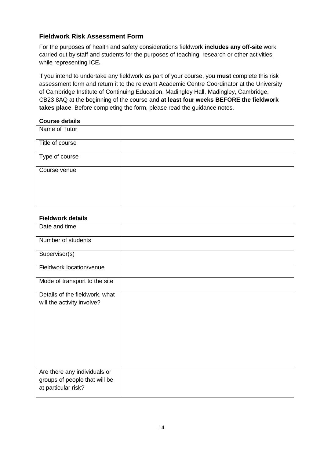# <span id="page-13-0"></span>**Fieldwork Risk Assessment Form**

For the purposes of health and safety considerations fieldwork **includes any off-site** work carried out by staff and students for the purposes of teaching, research or other activities while representing ICE**.**

If you intend to undertake any fieldwork as part of your course, you **must** complete this risk assessment form and return it to the relevant Academic Centre Coordinator at the University of Cambridge Institute of Continuing Education, Madingley Hall, Madingley, Cambridge, CB23 8AQ at the beginning of the course and **at least four weeks BEFORE the fieldwork takes place**. Before completing the form, please read the guidance notes.

### **Course details**

| Name of Tutor   |  |
|-----------------|--|
| Title of course |  |
| Type of course  |  |
| Course venue    |  |

### **Fieldwork details**

| Date and time                                                                        |  |
|--------------------------------------------------------------------------------------|--|
| Number of students                                                                   |  |
| Supervisor(s)                                                                        |  |
| Fieldwork location/venue                                                             |  |
| Mode of transport to the site                                                        |  |
| Details of the fieldwork, what<br>will the activity involve?                         |  |
| Are there any individuals or<br>groups of people that will be<br>at particular risk? |  |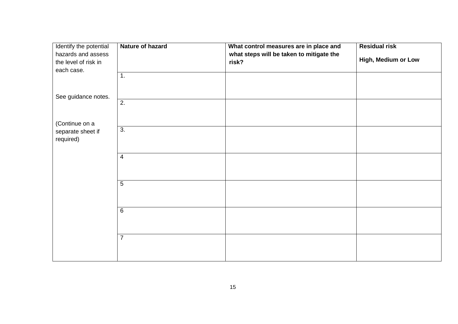| Identify the potential | Nature of hazard | What control measures are in place and   | <b>Residual risk</b> |
|------------------------|------------------|------------------------------------------|----------------------|
| hazards and assess     |                  | what steps will be taken to mitigate the |                      |
| the level of risk in   |                  | risk?                                    | High, Medium or Low  |
| each case.             |                  |                                          |                      |
|                        | 1.               |                                          |                      |
|                        |                  |                                          |                      |
| See guidance notes.    |                  |                                          |                      |
|                        | $\overline{2}$ . |                                          |                      |
|                        |                  |                                          |                      |
|                        |                  |                                          |                      |
| (Continue on a         |                  |                                          |                      |
| separate sheet if      | $\overline{3}$ . |                                          |                      |
| required)              |                  |                                          |                      |
|                        |                  |                                          |                      |
|                        | $\overline{4}$   |                                          |                      |
|                        |                  |                                          |                      |
|                        |                  |                                          |                      |
|                        | $\overline{5}$   |                                          |                      |
|                        |                  |                                          |                      |
|                        |                  |                                          |                      |
|                        |                  |                                          |                      |
|                        | $\overline{6}$   |                                          |                      |
|                        |                  |                                          |                      |
|                        |                  |                                          |                      |
|                        | $\overline{7}$   |                                          |                      |
|                        |                  |                                          |                      |
|                        |                  |                                          |                      |
|                        |                  |                                          |                      |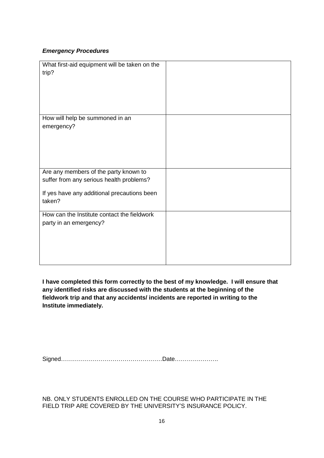### *Emergency Procedures*

| What first-aid equipment will be taken on the<br>trip? |  |
|--------------------------------------------------------|--|
| How will help be summoned in an                        |  |
| emergency?                                             |  |
|                                                        |  |
|                                                        |  |
|                                                        |  |
|                                                        |  |
|                                                        |  |
| Are any members of the party known to                  |  |
| suffer from any serious health problems?               |  |
|                                                        |  |
| If yes have any additional precautions been            |  |
| taken?                                                 |  |
| How can the Institute contact the fieldwork            |  |
| party in an emergency?                                 |  |
|                                                        |  |
|                                                        |  |
|                                                        |  |
|                                                        |  |
|                                                        |  |

**I have completed this form correctly to the best of my knowledge. I will ensure that any identified risks are discussed with the students at the beginning of the fieldwork trip and that any accidents/ incidents are reported in writing to the Institute immediately.**

Signed……………………………………………Date………………….

NB. ONLY STUDENTS ENROLLED ON THE COURSE WHO PARTICIPATE IN THE FIELD TRIP ARE COVERED BY THE UNIVERSITY'S INSURANCE POLICY.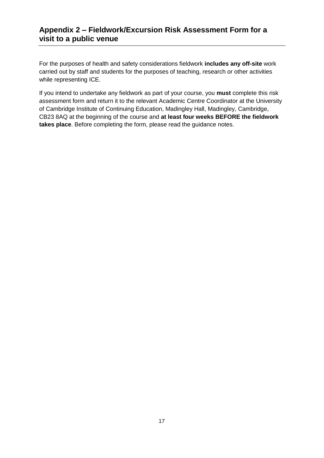# <span id="page-16-0"></span>**Appendix 2 – Fieldwork/Excursion Risk Assessment Form for a visit to a public venue**

For the purposes of health and safety considerations fieldwork **includes any off-site** work carried out by staff and students for the purposes of teaching, research or other activities while representing ICE.

If you intend to undertake any fieldwork as part of your course, you **must** complete this risk assessment form and return it to the relevant Academic Centre Coordinator at the University of Cambridge Institute of Continuing Education, Madingley Hall, Madingley, Cambridge, CB23 8AQ at the beginning of the course and **at least four weeks BEFORE the fieldwork takes place**. Before completing the form, please read the guidance notes.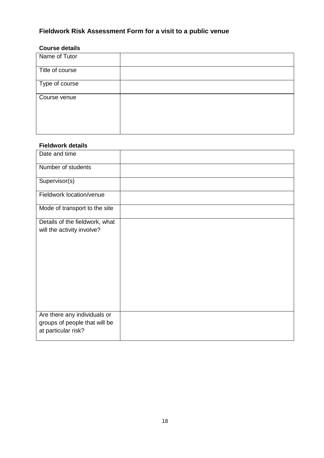# <span id="page-17-0"></span>**Fieldwork Risk Assessment Form for a visit to a public venue**

# **Course details**

| Name of Tutor   |  |
|-----------------|--|
| Title of course |  |
| Type of course  |  |
| Course venue    |  |
|                 |  |

### **Fieldwork details**

| Date and time                  |  |
|--------------------------------|--|
| Number of students             |  |
| Supervisor(s)                  |  |
| Fieldwork location/venue       |  |
| Mode of transport to the site  |  |
| Details of the fieldwork, what |  |
| will the activity involve?     |  |
|                                |  |
|                                |  |
|                                |  |
|                                |  |
|                                |  |
|                                |  |
|                                |  |
|                                |  |
|                                |  |
|                                |  |
| Are there any individuals or   |  |
| groups of people that will be  |  |
| at particular risk?            |  |
|                                |  |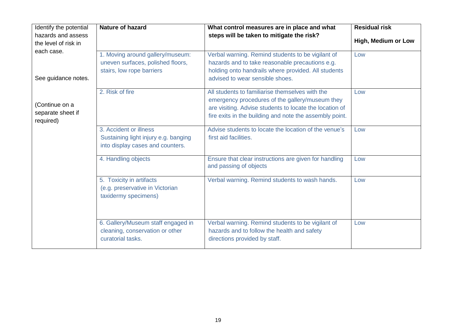| Identify the potential<br>hazards and assess              | Nature of hazard                                                                                   | What control measures are in place and what<br>steps will be taken to mitigate the risk?                                                                                                                                 | <b>Residual risk</b><br>High, Medium or Low |
|-----------------------------------------------------------|----------------------------------------------------------------------------------------------------|--------------------------------------------------------------------------------------------------------------------------------------------------------------------------------------------------------------------------|---------------------------------------------|
| the level of risk in<br>each case.<br>See guidance notes. | 1. Moving around gallery/museum:<br>uneven surfaces, polished floors,<br>stairs, low rope barriers | Verbal warning. Remind students to be vigilant of<br>hazards and to take reasonable precautions e.g.<br>holding onto handrails where provided. All students<br>advised to wear sensible shoes.                           | Low                                         |
| (Continue on a<br>separate sheet if<br>required)          | 2. Risk of fire                                                                                    | All students to familiarise themselves with the<br>emergency procedures of the gallery/museum they<br>are visiting. Advise students to locate the location of<br>fire exits in the building and note the assembly point. | Low                                         |
|                                                           | 3. Accident or illness<br>Sustaining light injury e.g. banging<br>into display cases and counters. | Advise students to locate the location of the venue's<br>first aid facilities.                                                                                                                                           | Low                                         |
|                                                           | 4. Handling objects                                                                                | Ensure that clear instructions are given for handling<br>and passing of objects                                                                                                                                          | Low                                         |
|                                                           | 5. Toxicity in artifacts<br>(e.g. preservative in Victorian<br>taxidermy specimens)                | Verbal warning. Remind students to wash hands.                                                                                                                                                                           | Low                                         |
|                                                           | 6. Gallery/Museum staff engaged in<br>cleaning, conservation or other<br>curatorial tasks.         | Verbal warning. Remind students to be vigilant of<br>hazards and to follow the health and safety<br>directions provided by staff.                                                                                        | Low                                         |